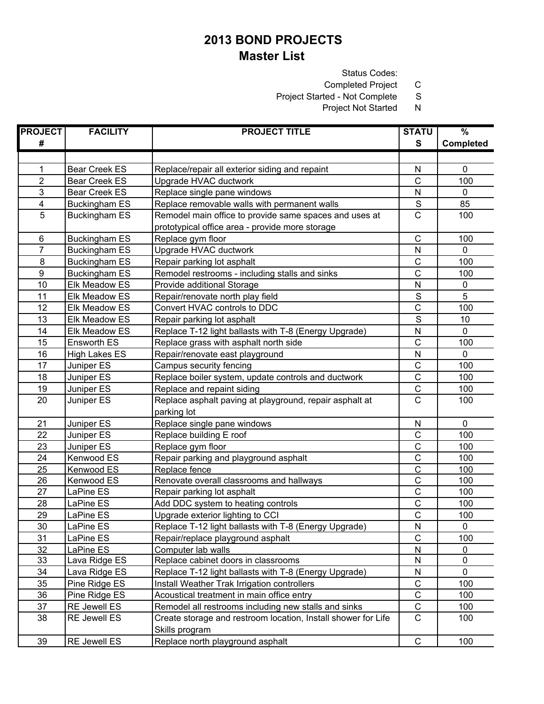Status Codes:

Completed Project C<br>ted - Not Complete S

Project Started - Not Complete

Project Not Started N

| <b>PROJECT</b>          | <b>FACILITY</b>       | <b>PROJECT TITLE</b>                                          | <b>STATU</b>          | %                |
|-------------------------|-----------------------|---------------------------------------------------------------|-----------------------|------------------|
| #                       |                       |                                                               | $\mathbf{s}$          | <b>Completed</b> |
|                         |                       |                                                               |                       |                  |
| 1                       | <b>Bear Creek ES</b>  | Replace/repair all exterior siding and repaint                | N                     | $\pmb{0}$        |
| $\overline{2}$          | <b>Bear Creek ES</b>  | Upgrade HVAC ductwork                                         | $\mathsf{C}$          | 100              |
| 3                       | <b>Bear Creek ES</b>  | Replace single pane windows                                   | N                     | $\mathbf 0$      |
| $\overline{\mathbf{4}}$ | <b>Buckingham ES</b>  | Replace removable walls with permanent walls                  | $\mathbf S$           | 85               |
| 5                       | <b>Buckingham ES</b>  | Remodel main office to provide same spaces and uses at        | $\mathsf{C}$          | 100              |
|                         |                       | prototypical office area - provide more storage               |                       |                  |
| $\,6$                   | <b>Buckingham ES</b>  | Replace gym floor                                             | $\mathsf C$           | 100              |
| $\overline{7}$          | <b>Buckingham ES</b>  | Upgrade HVAC ductwork                                         | N                     | $\mathbf 0$      |
| 8                       | <b>Buckingham ES</b>  | Repair parking lot asphalt                                    | $\mathsf C$           | 100              |
| $\boldsymbol{9}$        | <b>Buckingham ES</b>  | Remodel restrooms - including stalls and sinks                | $\mathsf{C}$          | 100              |
| 10                      | Elk Meadow ES         | Provide additional Storage                                    | N                     | $\pmb{0}$        |
| 11                      | Elk Meadow ES         | Repair/renovate north play field                              | $\mathbb S$           | 5                |
| 12                      | Elk Meadow ES         | Convert HVAC controls to DDC                                  | $\mathsf C$           | 100              |
| 13                      | Elk Meadow ES         | Repair parking lot asphalt                                    | $\mathbf S$           | 10               |
| 14                      | Elk Meadow ES         | Replace T-12 light ballasts with T-8 (Energy Upgrade)         | N                     | $\mathbf 0$      |
| 15                      | Ensworth ES           | Replace grass with asphalt north side                         | $\overline{\text{c}}$ | 100              |
| 16                      | <b>High Lakes ES</b>  | Repair/renovate east playground                               | N                     | $\mathbf 0$      |
| 17                      | Juniper ES            | Campus security fencing                                       | C                     | 100              |
| 18                      | Juniper <sub>ES</sub> | Replace boiler system, update controls and ductwork           | $\mathsf{C}$          | 100              |
| 19                      | Juniper ES            | Replace and repaint siding                                    | $\mathsf C$           | 100              |
| 20                      | Juniper ES            | Replace asphalt paving at playground, repair asphalt at       | $\mathsf{C}$          | 100              |
|                         |                       | parking lot                                                   |                       |                  |
| 21                      | Juniper ES            | Replace single pane windows                                   | N                     | $\pmb{0}$        |
| 22                      | Juniper ES            | Replace building E roof                                       | $\mathsf C$           | 100              |
| 23                      | Juniper ES            | Replace gym floor                                             | $\mathsf C$           | 100              |
| 24                      | Kenwood ES            | Repair parking and playground asphalt                         | $\mathsf C$           | 100              |
| 25                      | Kenwood ES            | Replace fence                                                 | $\mathsf{C}$          | 100              |
| 26                      | Kenwood ES            | Renovate overall classrooms and hallways                      | $\mathsf C$           | 100              |
| 27                      | LaPine ES             | Repair parking lot asphalt                                    | $\overline{\text{c}}$ | 100              |
| 28                      | LaPine ES             | Add DDC system to heating controls                            | $\mathsf C$           | 100              |
| 29                      | LaPine ES             | Upgrade exterior lighting to CCI                              | $\mathsf{C}$          | 100              |
| 30                      | LaPine ES             | Replace T-12 light ballasts with T-8 (Energy Upgrade)         | N                     | 0                |
| 31                      | LaPine ES             | Repair/replace playground asphalt                             | $\mathsf C$           | 100              |
| 32                      | LaPine ES             | Computer lab walls                                            | N                     | 0                |
| 33                      | Lava Ridge ES         | Replace cabinet doors in classrooms                           | N                     | $\pmb{0}$        |
| 34                      | Lava Ridge ES         | Replace T-12 light ballasts with T-8 (Energy Upgrade)         | N                     | $\mathbf 0$      |
| 35                      | Pine Ridge ES         | Install Weather Trak Irrigation controllers                   | $\mathsf C$           | 100              |
| 36                      | Pine Ridge ES         | Acoustical treatment in main office entry                     | $\mathsf C$           | 100              |
| 37                      | RE Jewell ES          | Remodel all restrooms including new stalls and sinks          | $\mathsf C$           | 100              |
| 38                      | <b>RE Jewell ES</b>   | Create storage and restroom location, Install shower for Life | $\mathsf{C}$          | 100              |
|                         |                       | Skills program                                                |                       |                  |
| 39                      | RE Jewell ES          | Replace north playground asphalt                              | $\mathsf C$           | 100              |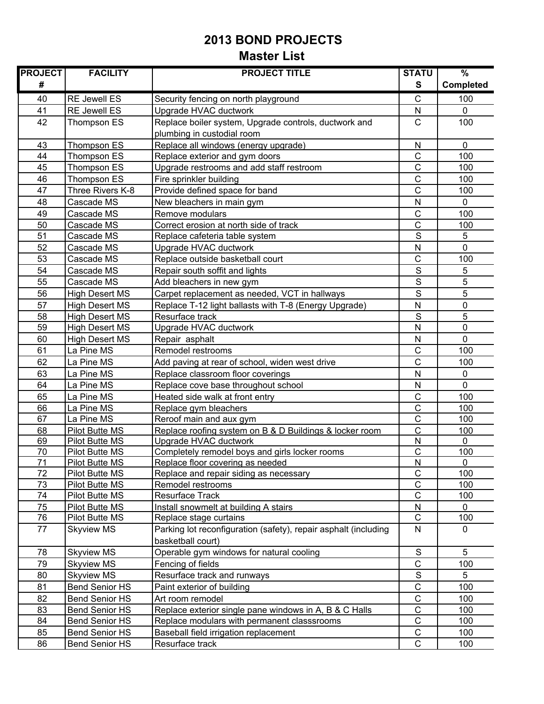| <b>PROJECT</b> | <b>FACILITY</b>                  | <b>PROJECT TITLE</b>                                            | <b>STATU</b>                 | $\frac{9}{6}$    |
|----------------|----------------------------------|-----------------------------------------------------------------|------------------------------|------------------|
| #              |                                  |                                                                 | S                            | <b>Completed</b> |
| 40             | <b>RE Jewell ES</b>              | Security fencing on north playground                            | $\mathsf{C}$                 | 100              |
| 41             | <b>RE Jewell ES</b>              | Upgrade HVAC ductwork                                           | N                            | $\Omega$         |
| 42             | Thompson ES                      | Replace boiler system, Upgrade controls, ductwork and           | $\mathsf{C}$                 | 100              |
|                |                                  | plumbing in custodial room                                      |                              |                  |
| 43             | Thompson ES                      | Replace all windows (energy upgrade)                            | ${\sf N}$                    | $\mathbf 0$      |
| 44             | Thompson ES                      | Replace exterior and gym doors                                  | C                            | 100              |
| 45             | Thompson ES                      | Upgrade restrooms and add staff restroom                        | $\mathsf{C}$                 | 100              |
| 46             | Thompson ES                      | Fire sprinkler building                                         | $\mathsf{C}$                 | 100              |
| 47             | Three Rivers K-8                 | Provide defined space for band                                  | $\mathsf{C}$                 | 100              |
| 48             | Cascade MS                       | New bleachers in main gym                                       | N                            | $\mathbf 0$      |
| 49             | Cascade MS                       | Remove modulars                                                 | $\mathsf{C}$                 | 100              |
| 50             | Cascade MS                       | Correct erosion at north side of track                          | C                            | 100              |
| 51             | Cascade MS                       | Replace cafeteria table system                                  | S                            | 5                |
| 52             | Cascade MS                       | Upgrade HVAC ductwork                                           | ${\sf N}$                    | 0                |
| 53             | Cascade MS                       | Replace outside basketball court                                | $\mathsf{C}$                 | 100              |
| 54             | Cascade MS                       | Repair south soffit and lights                                  | S                            | 5                |
| 55             | Cascade MS                       | Add bleachers in new gym                                        | S                            | 5                |
| 56             | <b>High Desert MS</b>            | Carpet replacement as needed, VCT in hallways                   | S                            | 5                |
| 57             | <b>High Desert MS</b>            | Replace T-12 light ballasts with T-8 (Energy Upgrade)           | $\mathsf{N}$                 | $\pmb{0}$        |
| 58             | <b>High Desert MS</b>            | Resurface track                                                 | S                            | 5                |
| 59             | <b>High Desert MS</b>            | Upgrade HVAC ductwork                                           | $\mathsf{N}$                 | 0                |
| 60             | <b>High Desert MS</b>            | Repair asphalt                                                  | $\mathsf{N}$                 | $\mathbf 0$      |
| 61             | La Pine MS                       | Remodel restrooms                                               | $\mathsf{C}$                 | 100              |
| 62             | La Pine MS                       | Add paving at rear of school, widen west drive                  | $\overline{C}$               | 100              |
| 63             | La Pine MS                       | Replace classroom floor coverings                               | N                            | $\mathbf 0$      |
| 64             | La Pine MS                       | Replace cove base throughout school                             | $\mathsf{N}$                 | 0                |
| 65             | La Pine MS                       | Heated side walk at front entry                                 | $\mathsf{C}$                 | 100              |
| 66             | La Pine MS                       | Replace gym bleachers                                           | $\mathsf{C}$                 | 100              |
| 67             | La Pine MS                       | Reroof main and aux gym                                         | $\mathsf{C}$                 | 100              |
| 68             | Pilot Butte MS                   | Replace roofing system on B & D Buildings & locker room         | $\mathbf C$                  | 100              |
| 69             | Pilot Butte MS                   | Upgrade HVAC ductwork                                           | N                            | 0                |
| 70             | <b>Pilot Butte MS</b>            | Completely remodel boys and girls locker rooms                  | $\mathsf{C}$                 | 100              |
| 71<br>72       | <b>Pilot Butte MS</b>            | Replace floor covering as needed                                | $\overline{\mathsf{N}}$<br>C | 0                |
|                | Pilot Butte MS                   | Replace and repair siding as necessary                          | C                            | 100              |
| 73<br>74       | Pilot Butte MS<br>Pilot Butte MS | Remodel restrooms<br>Resurface Track                            | $\overline{C}$               | 100<br>100       |
| 75             | Pilot Butte MS                   | Install snowmelt at building A stairs                           | ${\sf N}$                    | 0                |
| 76             | Pilot Butte MS                   | Replace stage curtains                                          | $\mathsf C$                  | 100              |
| 77             | <b>Skyview MS</b>                | Parking lot reconfiguration (safety), repair asphalt (including | N                            | 0                |
|                |                                  | basketball court)                                               |                              |                  |
| 78             | <b>Skyview MS</b>                | Operable gym windows for natural cooling                        | $\mathsf S$                  | 5                |
| 79             | <b>Skyview MS</b>                | Fencing of fields                                               | C                            | 100              |
| 80             | <b>Skyview MS</b>                | Resurface track and runways                                     | $\mathbf S$                  | 5                |
| 81             | <b>Bend Senior HS</b>            | Paint exterior of building                                      | $\mathbf C$                  | 100              |
| 82             | <b>Bend Senior HS</b>            | Art room remodel                                                | $\mathsf{C}$                 | 100              |
| 83             | <b>Bend Senior HS</b>            | Replace exterior single pane windows in A, B & C Halls          | C                            | 100              |
| 84             | <b>Bend Senior HS</b>            | Replace modulars with permanent classsrooms                     | C                            | 100              |
| 85             | <b>Bend Senior HS</b>            | Baseball field irrigation replacement                           | $\mathsf C$                  | 100              |
| 86             | <b>Bend Senior HS</b>            | Resurface track                                                 | $\mathsf{C}$                 | 100              |
|                |                                  |                                                                 |                              |                  |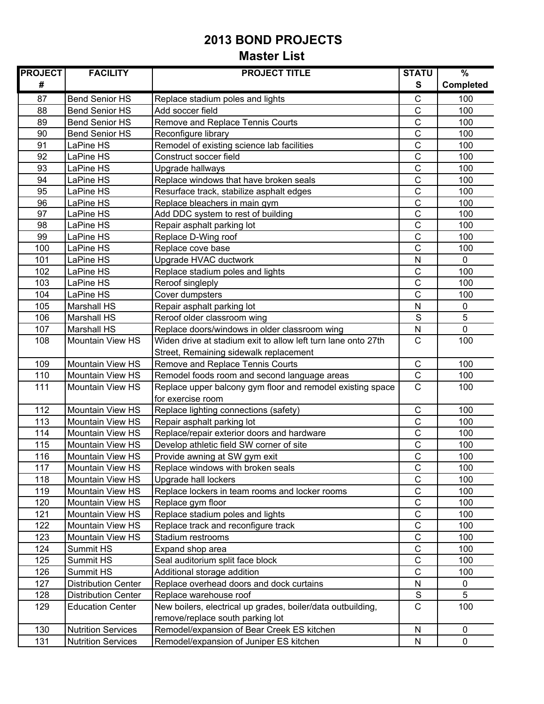| <b>PROJECT</b> | <b>FACILITY</b>            | <b>PROJECT TITLE</b>                                          | <b>STATU</b>  | $\frac{9}{6}$    |
|----------------|----------------------------|---------------------------------------------------------------|---------------|------------------|
| #              |                            |                                                               | $\mathbf{s}$  | <b>Completed</b> |
| 87             | <b>Bend Senior HS</b>      | Replace stadium poles and lights                              | $\mathsf C$   | 100              |
| 88             | <b>Bend Senior HS</b>      | Add soccer field                                              | $\mathsf{C}$  | 100              |
| 89             | <b>Bend Senior HS</b>      | Remove and Replace Tennis Courts                              | $\mathsf{C}$  | 100              |
| 90             | <b>Bend Senior HS</b>      | Reconfigure library                                           | $\mathsf{C}$  | 100              |
| 91             | LaPine HS                  | Remodel of existing science lab facilities                    | $\mathsf C$   | 100              |
| 92             | LaPine HS                  | Construct soccer field                                        | $\mathsf C$   | 100              |
| 93             | LaPine HS                  | Upgrade hallways                                              | $\mathsf{C}$  | 100              |
| 94             | LaPine HS                  | Replace windows that have broken seals                        | $\mathsf C$   | 100              |
| 95             | LaPine HS                  | Resurface track, stabilize asphalt edges                      | $\mathsf{C}$  | 100              |
| 96             | LaPine HS                  | Replace bleachers in main gym                                 | $\mathsf{C}$  | 100              |
| 97             | LaPine HS                  | Add DDC system to rest of building                            | $\mathsf C$   | 100              |
| 98             | LaPine HS                  | Repair asphalt parking lot                                    | $\mathsf C$   | 100              |
| 99             | LaPine HS                  | Replace D-Wing roof                                           | $\mathsf{C}$  | 100              |
| 100            | LaPine HS                  | Replace cove base                                             | $\mathsf{C}$  | 100              |
| 101            | LaPine HS                  | Upgrade HVAC ductwork                                         | ${\sf N}$     | $\Omega$         |
| 102            | LaPine HS                  | Replace stadium poles and lights                              | $\mathsf{C}$  | 100              |
| 103            | LaPine HS                  | Reroof singleply                                              | $\mathsf{C}$  | 100              |
| 104            | LaPine HS                  | Cover dumpsters                                               | $\mathsf C$   | 100              |
| 105            | <b>Marshall HS</b>         | Repair asphalt parking lot                                    | N             | $\pmb{0}$        |
| 106            | <b>Marshall HS</b>         | Reroof older classroom wing                                   | S             | 5                |
| 107            | <b>Marshall HS</b>         | Replace doors/windows in older classroom wing                 | ${\sf N}$     | $\mathbf 0$      |
| 108            | <b>Mountain View HS</b>    | Widen drive at stadium exit to allow left turn lane onto 27th | $\mathsf{C}$  | 100              |
|                |                            | Street, Remaining sidewalk replacement                        |               |                  |
| 109            | <b>Mountain View HS</b>    | Remove and Replace Tennis Courts                              | $\mathsf C$   | 100              |
| 110            | Mountain View HS           | Remodel foods room and second language areas                  | $\mathsf C$   | 100              |
| 111            | <b>Mountain View HS</b>    | Replace upper balcony gym floor and remodel existing space    | $\mathsf{C}$  | 100              |
|                |                            | for exercise room                                             |               |                  |
| 112            | <b>Mountain View HS</b>    | Replace lighting connections (safety)                         | $\mathsf C$   | 100              |
| 113            | <b>Mountain View HS</b>    | Repair asphalt parking lot                                    | $\mathsf{C}$  | 100              |
| 114            | <b>Mountain View HS</b>    | Replace/repair exterior doors and hardware                    | $\mathsf C$   | 100              |
| 115            | <b>Mountain View HS</b>    | Develop athletic field SW corner of site                      | $\mathsf C$   | 100              |
| 116            | Mountain View HS           | Provide awning at SW gym exit                                 | $\mathsf{C}$  | 100              |
| 117            | Mountain View HS           | Replace windows with broken seals                             | $\mathsf C$   | 100              |
| 118            | <b>Mountain View HS</b>    | Upgrade hall lockers                                          | $\mathsf{C}$  | 100              |
| 119            | Mountain View HS           | Replace lockers in team rooms and locker rooms                | $\mathsf C$   | 100              |
| 120            | Mountain View HS           | Replace gym floor                                             | $\mathsf C$   | 100              |
| 121            | Mountain View HS           | Replace stadium poles and lights                              | $\mathsf C$   | 100              |
| 122            | Mountain View HS           | Replace track and reconfigure track                           | $\mathsf C$   | 100              |
| 123            | Mountain View HS           | Stadium restrooms                                             | $\mathsf C$   | 100              |
| 124            | Summit HS                  | Expand shop area                                              | $\mathsf C$   | 100              |
| 125            | Summit HS                  | Seal auditorium split face block                              | $\mathsf C$   | 100              |
| 126            | Summit HS                  | Additional storage addition                                   | $\mathsf C$   | 100              |
| 127            | <b>Distribution Center</b> | Replace overhead doors and dock curtains                      | N             | $\pmb{0}$        |
| 128            | <b>Distribution Center</b> | Replace warehouse roof                                        | ${\mathbb S}$ | 5                |
| 129            | <b>Education Center</b>    | New boilers, electrical up grades, boiler/data outbuilding,   | $\mathsf{C}$  | 100              |
|                |                            | remove/replace south parking lot                              |               |                  |
| 130            | <b>Nutrition Services</b>  | Remodel/expansion of Bear Creek ES kitchen                    | ${\sf N}$     | $\pmb{0}$        |
| 131            | <b>Nutrition Services</b>  | Remodel/expansion of Juniper ES kitchen                       | N             | $\mathbf 0$      |